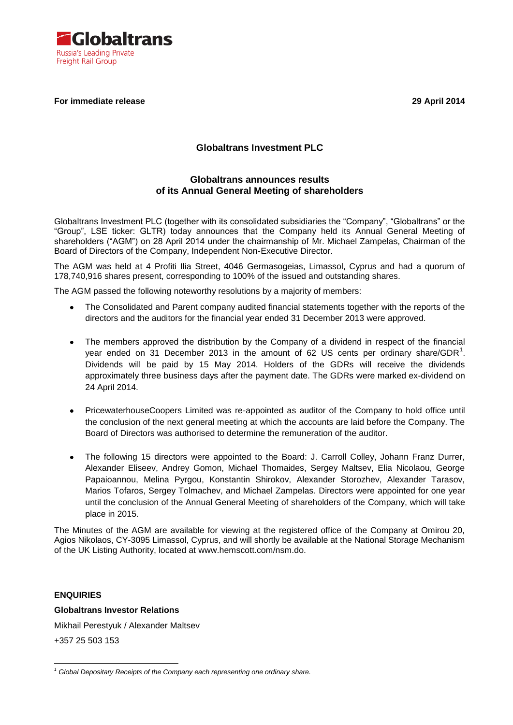

#### **For immediate release 29 April 2014**

# **Globaltrans Investment PLC**

## **Globaltrans announces results of its Annual General Meeting of shareholders**

Globaltrans Investment PLC (together with its consolidated subsidiaries the "Company", "Globaltrans" or the "Group", LSE ticker: GLTR) today announces that the Company held its Annual General Meeting of shareholders ("AGM") on 28 April 2014 under the chairmanship of Mr. Michael Zampelas, Chairman of the Board of Directors of the Company, Independent Non-Executive Director.

The AGM was held at 4 Profiti Ilia Street, 4046 Germasogeias, Limassol, Cyprus and had a quorum of 178,740,916 shares present, corresponding to 100% of the issued and outstanding shares.

The AGM passed the following noteworthy resolutions by a majority of members:

- $\bullet$ The Consolidated and Parent company audited financial statements together with the reports of the directors and the auditors for the financial year ended 31 December 2013 were approved.
- The members approved the distribution by the Company of a dividend in respect of the financial  $\bullet$ year ended on 31 December 2013 in the amount of 62 US cents per ordinary share/GDR<sup>1</sup>. Dividends will be paid by 15 May 2014. Holders of the GDRs will receive the dividends approximately three business days after the payment date. The GDRs were marked ex-dividend on 24 April 2014.
- PricewaterhouseCoopers Limited was re-appointed as auditor of the Company to hold office until  $\bullet$ the conclusion of the next general meeting at which the accounts are laid before the Company. The Board of Directors was authorised to determine the remuneration of the auditor.
- The following 15 directors were appointed to the Board: J. Carroll Colley, Johann Franz Durrer, Alexander Eliseev, Andrey Gomon, Michael Thomaides, Sergey Maltsev, Elia Nicolaou, George Papaioannou, Melina Pyrgou, Konstantin Shirokov, Alexander Storozhev, Alexander Tarasov, Marios Tofaros, Sergey Tolmachev, and Michael Zampelas. Directors were appointed for one year until the conclusion of the Annual General Meeting of shareholders of the Company, which will take place in 2015.

The Minutes of the AGM are available for viewing at the registered office of the Company at Omirou 20, Agios Nikolaos, CY-3095 Limassol, Cyprus, and will shortly be available at the National Storage Mechanism of the UK Listing Authority, located at www.hemscott.com/nsm.do.

#### **ENQUIRIES**

#### **Globaltrans Investor Relations**

Mikhail Perestyuk / Alexander Maltsev

+357 25 503 153

<sup>1</sup> *<sup>1</sup> Global Depositary Receipts of the Company each representing one ordinary share.*